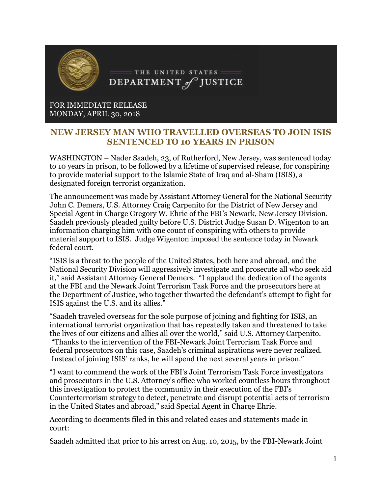

## FOR IMMEDIATE RELEASE MONDAY, APRIL 30, 2018

## **NEW JERSEY MAN WHO TRAVELLED OVERSEAS TO JOIN ISIS SENTENCED TO 10 YEARS IN PRISON**

WASHINGTON – Nader Saadeh, 23, of Rutherford, New Jersey, was sentenced today to 10 years in prison, to be followed by a lifetime of supervised release, for conspiring to provide material support to the Islamic State of Iraq and al-Sham (ISIS), a designated foreign terrorist organization.

The announcement was made by Assistant Attorney General for the National Security John C. Demers, U.S. Attorney Craig Carpenito for the District of New Jersey and Special Agent in Charge Gregory W. Ehrie of the FBI's Newark, New Jersey Division. Saadeh previously pleaded guilty before U.S. District Judge Susan D. Wigenton to an information charging him with one count of conspiring with others to provide material support to ISIS. Judge Wigenton imposed the sentence today in Newark federal court.

"ISIS is a threat to the people of the United States, both here and abroad, and the National Security Division will aggressively investigate and prosecute all who seek aid it," said Assistant Attorney General Demers. "I applaud the dedication of the agents at the FBI and the Newark Joint Terrorism Task Force and the prosecutors here at the Department of Justice, who together thwarted the defendant's attempt to fight for ISIS against the U.S. and its allies."

"Saadeh traveled overseas for the sole purpose of joining and fighting for ISIS, an international terrorist organization that has repeatedly taken and threatened to take the lives of our citizens and allies all over the world," said U.S. Attorney Carpenito. "Thanks to the intervention of the FBI-Newark Joint Terrorism Task Force and federal prosecutors on this case, Saadeh's criminal aspirations were never realized. Instead of joining ISIS' ranks, he will spend the next several years in prison."

"I want to commend the work of the FBI's Joint Terrorism Task Force investigators and prosecutors in the U.S. Attorney's office who worked countless hours throughout this investigation to protect the community in their execution of the FBI's Counterterrorism strategy to detect, penetrate and disrupt potential acts of terrorism in the United States and abroad," said Special Agent in Charge Ehrie.

According to documents filed in this and related cases and statements made in court:

Saadeh admitted that prior to his arrest on Aug. 10, 2015, by the FBI-Newark Joint